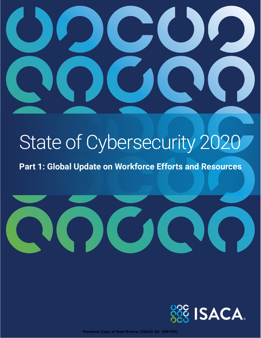

# State of Cybersecurity 2020

**Part 1: Global Update on Workforce Efforts and Resources**





© 2020 ISACA. All Rights Reserved. **Personal Copy of Raul Rivera (ISACA ID: 395792)**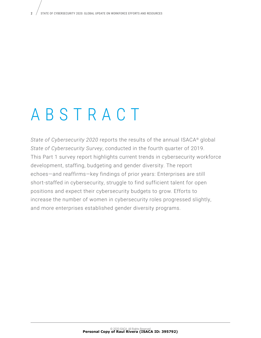# ABSTRACT

*State of Cybersecurity 2020* reports the results of the annual ISACA® global *State of Cybersecurity Survey*, conducted in the fourth quarter of 2019. This Part 1 survey report highlights current trends in cybersecurity workforce development, staffing, budgeting and gender diversity. The report echoes—and reaffirms—key findings of prior years: Enterprises are still short-staffed in cybersecurity, struggle to find sufficient talent for open positions and expect their cybersecurity budgets to grow. Efforts to increase the number of women in cybersecurity roles progressed slightly, and more enterprises established gender diversity programs.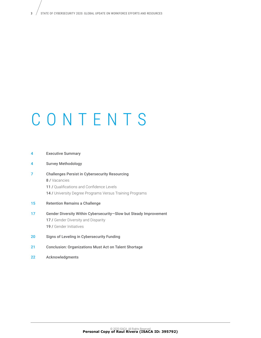# CONTENTS

| 4  | <b>Executive Summary</b>                                                                                                                                                        |
|----|---------------------------------------------------------------------------------------------------------------------------------------------------------------------------------|
| 4  | <b>Survey Methodology</b>                                                                                                                                                       |
| 7  | <b>Challenges Persist in Cybersecurity Resourcing</b><br>8 / Vacancies<br>11 / Qualifications and Confidence Levels<br>14 / University Degree Programs Versus Training Programs |
| 15 | <b>Retention Remains a Challenge</b>                                                                                                                                            |
| 17 | Gender Diversity Within Cybersecurity-Slow but Steady Improvement<br><b>17 /</b> Gender Diversity and Disparity<br><b>19 /</b> Gender Initiatives                               |
| 20 | Signs of Leveling in Cybersecurity Funding                                                                                                                                      |
| 21 | <b>Conclusion: Organizations Must Act on Talent Shortage</b>                                                                                                                    |

- 
- 22 Acknowledgments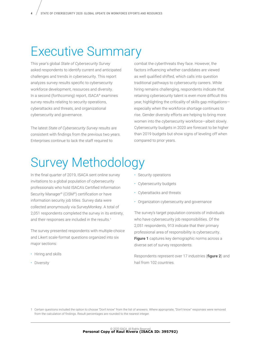## Executive Summary

This year's global *State of Cybersecurity Survey*  asked respondents to identify current and anticipated challenges and trends in cybersecurity. This report analyzes survey results specific to cybersecurity workforce development, resources and diversity. In a second (forthcoming) report, ISACA® examines survey results relating to security operations, cyberattacks and threats, and organizational cybersecurity and governance.

The latest *State of Cybersecurity Survey* results are consistent with findings from the previous two years. Enterprises continue to lack the staff required to

combat the cyberthreats they face. However, the factors influencing whether candidates are viewed as well qualified shifted, which calls into question traditional pathways to cybersecurity careers. While hiring remains challenging, respondents indicate that retaining cybersecurity talent is even more difficult this year, highlighting the criticality of skills gap mitigations especially when the workforce shortage continues to rise. Gender diversity efforts are helping to bring more women into the cybersecurity workforce—albeit slowly. Cybersecurity budgets in 2020 are forecast to be higher than 2019 budgets but show signs of leveling off when compared to prior years.

# Survey Methodology

In the final quarter of 2019, ISACA sent online survey invitations to a global population of cybersecurity professionals who hold ISACA's Certified Information Security Manager® (CISM®) certification or have information security job titles. Survey data were collected anonymously via SurveyMonkey. A total of 2,051 respondents completed the survey in its entirety, and their responses are included in the results.<sup>1</sup>

The survey presented respondents with multiple-choice and Likert scale-format questions organized into six major sections:

- Hiring and skills
- Diversity
- Security operations
- Cybersecurity budgets
- Cyberattacks and threats
- Organization cybersecurity and governance

The survey's target population consists of individuals who have cybersecurity job responsibilities. Of the 2,051 respondents, 913 indicate that their primary professional area of responsibility is cybersecurity. **Figure 1** captures key demographic norms across a diverse set of survey respondents.

Respondents represent over 17 industries (**figure 2**) and hail from 102 countries.

<sup>1</sup> Certain questions included the option to choose "Don't know" from the list of answers. Where appropriate, "Don't know" responses were removed from the calculation of findings. Result percentages are rounded to the nearest integer.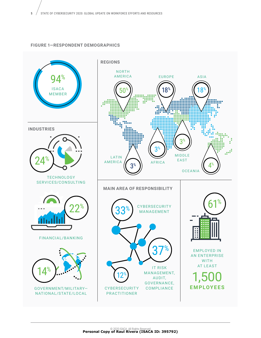#### **FIGURE 1—RESPONDENT DEMOGRAPHICS**

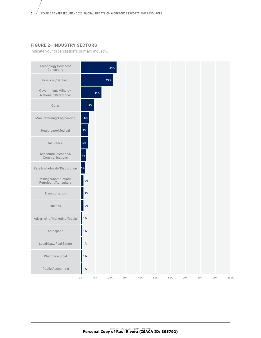#### **FIGURE 2—INDUSTRY SECTORS**

Indicate your organization's primary industry.

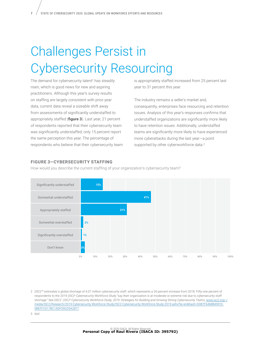# Challenges Persist in Cybersecurity Resourcing

The demand for cybersecurity talent<sup>2</sup> has steadily risen, which is good news for new and aspiring practitioners. Although this year's survey results on staffing are largely consistent with prior-year data, current data reveal a sizeable shift away from assessments of significantly understaffed to appropriately staffed (**figure 3**). Last year, 21 percent of respondents reported that their cybersecurity team was significantly understaffed; only 15 percent report the same perception this year. The percentage of respondents who believe that their cybersecurity team is appropriately staffed increased from 25 percent last year to 31 percent this year.

The industry remains a seller's market and, consequently, enterprises face resourcing and retention issues. Analysis of this year's responses confirms that understaffed organizations are significantly more likely to have retention issues. Additionally, understaffed teams are significantly more likely to have experienced more cyberattacks during the last year—a point supported by other cyberworkforce data.<sup>3</sup>

#### **FIGURE 3—CYBERSECURITY STAFFING FIGURE 3–CYBERSECURITY STAFFING**

How would you describe the current staffing of your organization's cybersecurity team? How would you describe the current staffing of your organization's cybersecurity team?



2 (ISC)<sup>2®</sup> estimates a global shortage of 4.07 million cybersecurity staff, which represents a 26-percent increase from 2018. Fifty-one percent of respondents to the 2019 *(ISC)² Cybersecurity Workforce Study* "say their organization is at moderate or extreme risk due to cybersecurity staff shortage." See (ISC)2 , *(ISC)² Cybersecurity Workforce Study, 2019: Strategies for Building and Growing Strong Cybersecurity Teams*, [www.isc2.org/-/](http://www.isc2.org/-/media/ISC2/Research/2019-Cybersecurity-Workforce-Study/ISC2-Cybersecurity-Workforce-Study-2019.ashx?la=en&hash=D087F6468B4991E0BEFFC017BC1ADF59CD5A2EF7) [media/ISC2/Research/2019-Cybersecurity-Workforce-Study/ISC2-Cybersecurity-Workforce-Study-2019.ashx?la=en&hash=D087F6468B4991E](http://www.isc2.org/-/media/ISC2/Research/2019-Cybersecurity-Workforce-Study/ISC2-Cybersecurity-Workforce-Study-2019.ashx?la=en&hash=D087F6468B4991E0BEFFC017BC1ADF59CD5A2EF7)-[0BEFFC017BC1ADF59CD5A2EF7](http://www.isc2.org/-/media/ISC2/Research/2019-Cybersecurity-Workforce-Study/ISC2-Cybersecurity-Workforce-Study-2019.ashx?la=en&hash=D087F6468B4991E0BEFFC017BC1ADF59CD5A2EF7).

3 *Ibid*.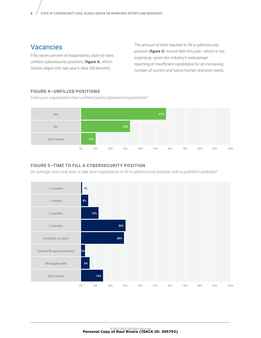### Vacancies

Fifty-seven percent of respondents claim to have unfilled cybersecurity positions (**figure 4**), which closely aligns with last year's data (58 percent).

The amount of time required to fill a cybersecurity position (**figure 5**) moved little this year—which is not surprising—given the industry's widespread reporting of insufficient candidates for an increasing number of current and future human resource needs.

#### **FIGURE 4—UNFILLED POSITIONS FIGURE 4–UNFILLED POSITIONS**

Does your organization have unfilled (open) cybersecurity positions? Does your organization have unfilled (open) cybersecurity positions?



#### **FIGURE 5—TIME TO FILL A CYBERSECURITY POSITION FIGURE 5–TIME TO FILL A CYBERSECURITY POSITION**

On average, how long does it take your organization to fill a cybersecurity position with a qualified candidate?

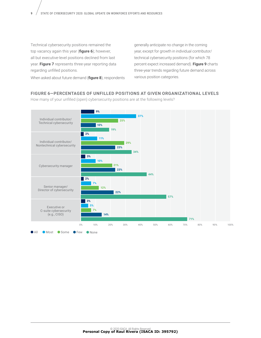Technical cybersecurity positions remained the top vacancy again this year (**figure 6**); however, all but executive-level positions declined from last year. **Figure 7** represents three-year reporting data regarding unfilled positions.

generally anticipate no change in the coming year, except for growth in individual contributor/ technical cybersecurity positions (for which 78 percent expect increased demand). **Figure 9** charts three-year trends regarding future demand across various position categories.

When asked about future demand (**figure 8**), respondents

#### **FIGURE 6—PERCENTAGES OF UNFILLED POSITIONS AT GIVEN ORGANIZATIONAL LEVELS FIGURE 6–PERCENTAGES OF UNFILLED POSITIONS AT GIVEN ORGANIZATIONAL LEVELS**

How many of your unfilled (open) cybersecurity positions are at the following levels? How many of your unfilled (open) cybersecurity positions are at the following levels?

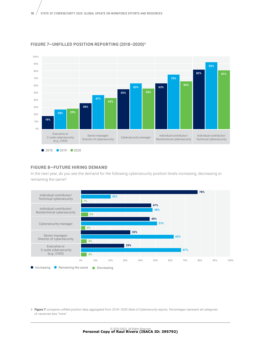

#### **FIGURE 7—UNFILLED POSITION REPORTING (2018–2020)<sup>4</sup> FIGURE 7–UNFILLED POSITION REPORTING (2018–2020)4**

#### **FIGURE 8—FUTURE HIRING DEMAND FIGURE 8–FUTURE HIRING DEMAND**

In the next year, do you see the demand for the following cybersecurity position levels increasing, decreasing or remaining the same? the same?



4 **Figure 7** compares unfilled position data aggregated from 2018–2020 *State of Cybersecurity* reports. Percentages represent all categories of vacancies less "none."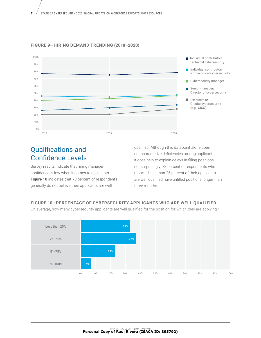

#### **FIGURE 9—HIRING DEMAND TRENDING (2018–2020)**

### Qualifications and Confidence Levels

Survey results indicate that hiring manager confidence is low when it comes to applicants. **Figure 10** indicates that 70 percent of respondents generally do not believe their applicants are well

qualified. Although this datapoint alone does not characterize deficiencies among applicants, it does help to explain delays in filling positions not surprisingly, 73 percent of respondents who reported less than 25 percent of their applicants are well qualified have unfilled positions longer than three months.

#### **FIGURE 10—PERCENTAGE OF CYBERSECURITY APPLICANTS WHO ARE WELL QUALIFIED FIGURE 10–PERCENTAGE OF CYBERSECURITY APPLICANTS WHO ARE WELL QUALIFIED**

On average, how many cybersecurity applicants are well qualified for the position for which they are applying? On average, how many cybersecurity applicants are well qualified for the position for which they are applying?

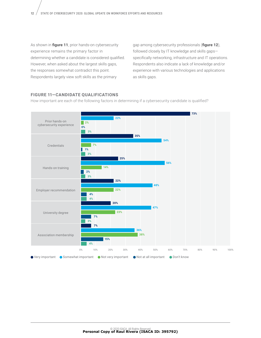As shown in **figure 11**, prior hands-on cybersecurity experience remains the primary factor in determining whether a candidate is considered qualified. However, when asked about the largest skills gaps, the responses somewhat contradict this point. Respondents largely view soft skills as the primary

gap among cybersecurity professionals (**figure 12**), followed closely by IT knowledge and skills gaps specifically networking, infrastructure and IT operations. Respondents also indicate a lack of knowledge and/or experience with various technologies and applications as skills gaps.

#### **FIGURE 11—CANDIDATE QUALIFICATIONS FIGURE 11–CANDIDATE QUALIFICATIONS**

How important are each of the following factors in determining if a cybersecurity candidate is qualified? How important are each of the following factors in determining if a cybersecurity candidate is qualified?

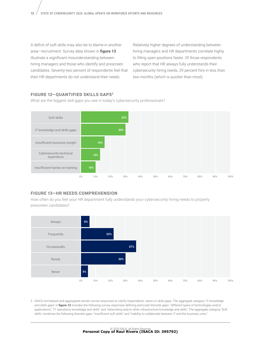A deficit of soft skills may also be to blame in another area—recruitment. Survey data shown in **figure 13** illustrate a significant misunderstanding between hiring managers and those who identify and prescreen candidates. Seventy-two percent of respondents feel that their HR departments do not understand their needs.

Relatively higher degrees of understanding between hiring managers and HR departments correlate highly to filling open positions faster. Of those respondents who report that HR always fully understands their cybersecurity hiring needs, 29 percent hire in less than two months (which is quicker than most).

#### **FIGURE 12—QUANTIFIED SKILLS GAPS5 FIGURE 12–QUANTIFIED SKILLS GAPS5**

What are the biggest skill gaps you see in today's cybersecurity professionals? What are the biggest skill gaps you see in today's cybersecurity professionals?



#### **FIGURE 13—HR NEEDS COMPREHENSION FIGURE 13–HR NEEDS COMPREHENSION**

How often do you feel your HR department fully understands your cybersecurity hiring needs to properly How often do you feel your HR department fully understands your cybersecurity hiring needs to properly prescreen candidates? prescreen candidates?



5 ISACA normalized and aggregated certain survey responses to clarify respondents' views on skills gaps. The aggregate category 'IT knowledge and skills gaps' in **figure 12** includes the following survey responses defining particular/discrete gaps: "different types of technologies and/or applications," "IT operations knowledge and skills" and "networking and/or other infrastructure knowledge and skills." The aggregate category 'Soft skills' combines the following discrete gaps: "insufficient soft skills" and "inability to collaborate between IT and the business units."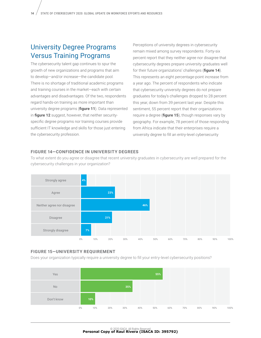### University Degree Programs Versus Training Programs

The cybersecurity talent gap continues to spur the growth of new organizations and programs that aim to develop—and/or increase—the candidate pool. There is no shortage of traditional academic programs and training courses in the market—each with certain advantages and disadvantages. Of the two, respondents regard hands-on training as more important than university degree programs (**figure 11**). Data represented in **figure 12** suggest, however, that neither securityspecific degree programs nor training courses provide sufficient IT knowledge and skills for those just entering the cybersecurity profession.

Perceptions of university degrees in cybersecurity remain mixed among survey respondents. Forty-six percent report that they neither agree nor disagree that cybersecurity degrees prepare university graduates well for their future organizations' challenges (**figure 14**). This represents an eight percentage-point increase from a year ago. The percent of respondents who indicate that cybersecurity university degrees do not prepare graduates for today's challenges dropped to 28 percent this year, down from 39 percent last year. Despite this sentiment, 55 percent report that their organizations require a degree (**figure 15**), though responses vary by geography. For example, 78 percent of those responding from Africa indicate that their enterprises require a university degree to fill an entry-level cybersecurity

#### FIGURE 14-CONFIDENCE IN UNIVERSITY DEGREES

To what extent do you agree or disagree that recent university graduates in cybersecurity are well prepared for the cybersecurity challenges in your organization? cybersecurity challenges in your organization?



#### **FIGURE 15—UNIVERSITY REQUIREMENT FIGURE 15–UNIVERSITY REQUIREMENT**

Does your organization typically require a university degree to fill your entry-level cybersecurity positions? Does your organization typically require a university degree to fill your entry-level cybersecurity positions?

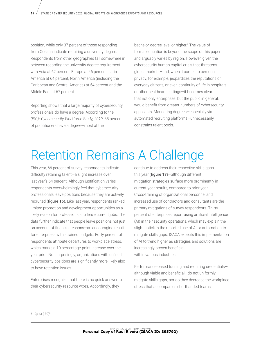position, while only 37 percent of those responding from Oceana indicate requiring a university degree. Respondents from other geographies fall somewhere in between regarding the university degree requirement with Asia at 62 percent, Europe at 46 percent, Latin America at 64 percent, North America (including the Caribbean and Central America) at 54 percent and the Middle East at 67 percent.

Reporting shows that a large majority of cybersecurity professionals do have a degree. According to the *(ISC)2 Cybersecurity Workforce Study, 2019*, 88 percent of practitioners have a degree—most at the

bachelor-degree level or higher.6 The value of formal education is beyond the scope of this paper and arguably varies by region. However, given the cybersecurity human capital crisis that threatens global markets—and, when it comes to personal privacy, for example, jeopardizes the reputations of everyday citizens, or even continuity of life in hospitals or other healthcare settings—it becomes clear that not only enterprises, but the public in general, would benefit from greater numbers of cybersecurity applicants. Mandating degrees—especially via automated recruiting platforms—unnecessarily constrains talent pools.

## Retention Remains A Challenge

This year, 66 percent of survey respondents indicate difficulty retaining talent—a slight increase over last year's 64 percent. Although justification varies, respondents overwhelmingly feel that cybersecurity professionals leave positions because they are actively recruited (**figure 16**). Like last year, respondents ranked limited promotion and development opportunities as a likely reason for professionals to leave current jobs. The data further indicate that people leave positions not just on account of financial reasons—an encouraging result for enterprises with strained budgets. Forty percent of respondents attribute departures to workplace stress, which marks a 10 percentage-point increase over the year prior. Not surprisingly, organizations with unfilled cybersecurity positions are significantly more likely also to have retention issues.

Enterprises recognize that there is no quick answer to their cybersecurity-resource woes. Accordingly, they

continue to address their respective skills gaps this year (**figure 17**)—although different mitigation strategies surface more prominently in current-year results, compared to prior year. Cross-training of organizational personnel and increased use of contractors and consultants are the primary mitigations of survey respondents. Thirty percent of enterprises report using artificial intelligence (AI) in their security operations, which may explain the slight uptick in the reported use of AI or automation to mitigate skills gaps. ISACA expects this implementation of AI to trend higher as strategies and solutions are increasingly proven beneficial within various industries.

Performance-based training and requiring credentials although viable and beneficial—do not uniformly mitigate skills gaps, nor do they decrease the workplace stress that accompanies shorthanded teams.

6 *Op cit* (ISC)2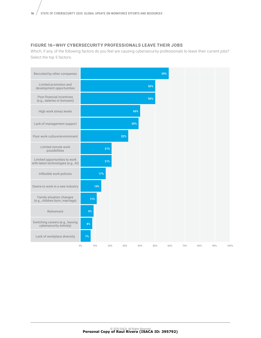#### **FIGURE 16—WHY CYBERSECURITY PROFESSIONALS LEAVE THEIR JOBS FIGURE 16—WHY CYBERSECURITY PROFESSIONALS LEAVE THEIR JOBS**

Which, if any, of the following factors do you feel are causing cybersecurity professionals to leave their current jobs? Select the top 5 factors.

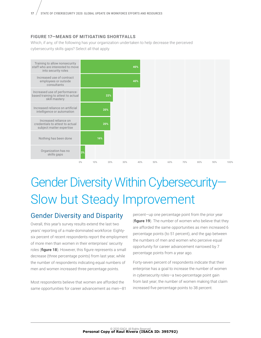#### **FIGURE 17—MEANS OF MITIGATING SHORTFALLS**

Which, if any, of the following has your organization undertaken to help decrease the perceived cybersecurity skills gaps? Select all that apply.



# Gender Diversity Within Cybersecurity— Slow but Steady Improvement

### Gender Diversity and Disparity

Overall, this year's survey results extend the last two years' reporting of a male-dominated workforce: Eightysix percent of recent respondents report the employment of more men than women in their enterprises' security roles (**figure 18**). However, this figure represents a small decrease (three percentage points) from last year, while the number of respondents indicating equal numbers of men and women increased three percentage points.

Most respondents believe that women are afforded the same opportunities for career advancement as men—81 percent—up one percentage point from the prior year (**figure 19**). The number of women who believe that they are afforded the same opportunities as men increased 6 percentage points (to 51 percent), and the gap between the numbers of men and women who perceive equal opportunity for career advancement narrowed by 7 percentage points from a year ago.

Forty-seven percent of respondents indicate that their enterprise has a goal to increase the number of women in cybersecurity roles—a two-percentage point gain from last year; the number of women making that claim increased five percentage points to 38 percent.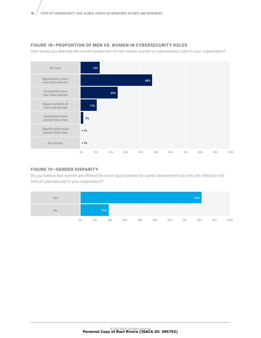#### **FIGURE 18—PROPORTION OF MEN VS. WOMEN IN CYBERSECURITY ROLES FIGURE 18—PROPORTION OF MEN VS. WOMEN IN CYBERSECURITY ROLES**

How would you describe the current proportion of men versus women in cybersecurity roles in your organization? How would you describe the current proportion of men versus women in cybersecurity roles in your organization?



#### **FIGURE 19—GENDER DISPARITY FIGURE 19–GENDER DISPARITY**

Do you believe that women are offered the same opportunities for career advancement as men are offered in the field of cybersecurity in your organization?

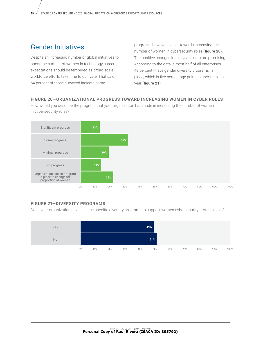### Gender Initiatives

Despite an increasing number of global initiatives to boost the number of women in technology careers, expectations should be tempered as broad-scale workforce efforts take time to cultivate. That said, 64 percent of those surveyed indicate some

progress—however slight—towards increasing the number of women in cybersecurity roles (**figure 20**). The positive changes in this year's data are promising. According to the data, almost half of all enterprises— 49 percent—have gender diversity programs in place, which is five percentage points higher than last year (**figure 21**).

#### **FIGURE 20—ORGANIZATIONAL PROGRESS TOWARD INCREASING WOMEN IN CYBER ROLES FIGURE 20–ORGANIZATIONAL PROGRESS INCREASING WOMEN IN CYBER ROLES**

How would you describe the progress that your organization has made in increasing the number of women How would you describe the progress that your organization has made in increasing the number of women in cybersecurity roles? in cybersecurity roles?



### **FIGURE 21—DIVERSITY PROGRAMS FIGURE 21–DIVERSITY PROGRAMS**

Does your organization have in place specific diversity programs to support women cybersecurity professionals? Does your organization have in place specific diversity programs to support women cybersecurity professionals?

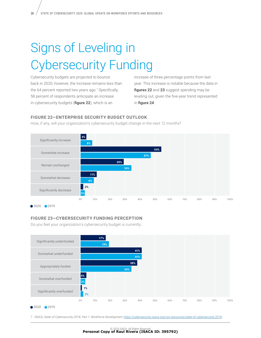# Signs of Leveling in Cybersecurity Funding

Cybersecurity budgets are projected to bounce back in 2020; however, the increase remains less than the 64 percent reported two years ago.7 Specifically, 58 percent of respondents anticipate an increase in cybersecurity budgets (**figure 22**), which is an

increase of three percentage points from last year. This increase is notable because the data in **figures 22** and **23** suggest spending may be leveling out, given the five-year trend represented in **figure 24**.

#### **FIGURE 22—ENTERPRISE SECURITY BUDGET OUTLOOK FIGURE 22–ENTERPRISE SECURITY BUDGET OUTLOOK**

How, if any, will your organization's cybersecurity budget change in the next 12 months? How, if any, will your organization's cybersecurity budget change in the next 12 months?



#### **FIGURE 23—CYBERSECURITY FUNDING PERCEPTION FIGURE 23–CYBERSECURITY FUNDING PERCEPTION**

Do you feel your organization's cybersecurity budget is currently…



■ 2020 ■ 2019

7 ISACA, *State of Cybersecurity 2018, Part 1: Workforce Development*, <https://cybersecurity.isaca.org/csx-resources/state-of-cybersecurity-2018>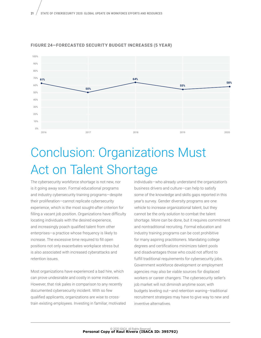

#### **FIGURE 24—FORECASTED SECURITY BUDGET INCREASES (5 YEAR)**

## Conclusion: Organizations Must Act on Talent Shortage

The cybersecurity workforce shortage is not new, nor is it going away soon. Formal educational programs and industry cybersecurity training programs—despite their proliferation—cannot replicate cybersecurity experience, which is the most sought-after criterion for filling a vacant job position. Organizations have difficulty locating individuals with the desired experience, and increasingly poach qualified talent from other enterprises—a practice whose frequency is likely to increase. The excessive time required to fill open positions not only exacerbates workplace stress but is also associated with increased cyberattacks and retention issues.

Most organizations have experienced a bad hire, which can prove undesirable and costly in some instances. However, that risk pales in comparison to any recently documented cybersecurity incident. With so few qualified applicants, organizations are wise to crosstrain existing employees. Investing in familiar, motivated individuals—who already understand the organization's business drivers and culture—can help to satisfy some of the knowledge and skills gaps reported in this year's survey. Gender diversity programs are one vehicle to increase organizational talent, but they cannot be the only solution to combat the talent shortage. More can be done, but it requires commitment and nontraditional recruiting. Formal education and industry training programs can be cost prohibitive for many aspiring practitioners. Mandating college degrees and certifications minimizes talent pools and disadvantages those who could not afford to fulfill traditional requirements for cybersecurity jobs. Government workforce development or employment agencies may also be viable sources for displaced workers or career changers. The cybersecurity seller's job market will not diminish anytime soon; with budgets leveling out—and retention waning—traditional recruitment strategies may have to give way to new and inventive alternatives.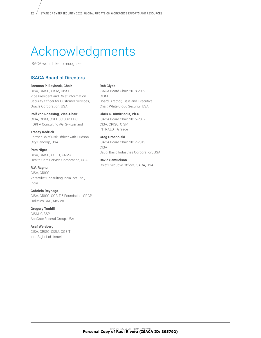# Acknowledgments

ISACA would like to recognize:

#### ISACA Board of Directors

**Brennan P. Baybeck, Chair**

CISA, CRISC, CISM, CISSP Vice President and Chief Information Security Officer for Customer Services, Oracle Corporation, USA

**Rolf von Roessing, Vice-Chair**

CISA, CISM, CGEIT, CISSP, FBCI FORFA Consulting AG, Switzerland

**Tracey Dedrick** Former Chief Risk Officer with Hudson City Bancorp, USA

**Pam Nigro** CISA, CRISC, CGEIT, CRMA Health Care Service Corporation, USA

**R.V. Raghu** CISA, CRISC Versatilist Consulting India Pvt. Ltd., India

**Gabriela Reynaga** CISA, CRISC, COBIT 5 Foundation, GRCP Holistics GRC, Mexico

**Gregory Touhill** CISM, CISSP AppGate Federal Group, USA

**Asaf Weisberg** CISA, CRISC, CISM, CGEIT introSight Ltd., Israel

**Rob Clyde**

ISACA Board Chair, 2018-2019 CISM Board Director, Titus and Executive Chair, White Cloud Security, USA

**Chris K. Dimitriadis, Ph.D.** ISACA Board Chair, 2015-2017 CISA, CRISC, CISM INTRALOT, Greece

**Greg Grocholski** ISACA Board Chair, 2012-2013 CISA Saudi Basic Industries Corporation, USA

**David Samuelson** Chief Executive Officer, ISACA, USA